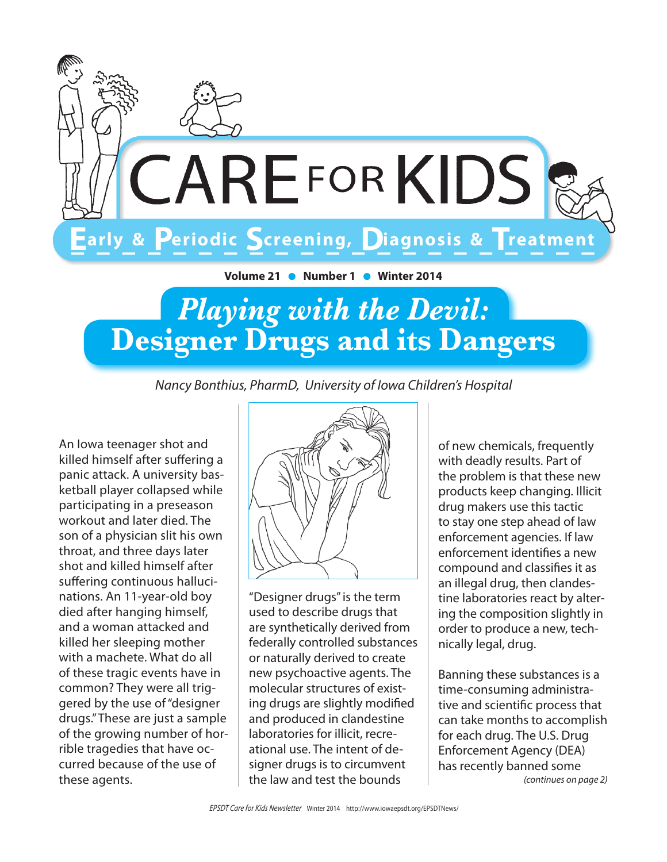

# **Playing with the Devil: Designer Drugs and its Dangers**

Nancy Bonthius, PharmD, University of Iowa Children's Hospital

An lowa teenager shot and killed himself after suffering a panic attack. A university basketball player collapsed while participating in a preseason workout and later died. The son of a physician slit his own throat, and three days later shot and killed himself after suffering continuous hallucinations. An 11-year-old boy died after hanging himself. and a woman attacked and killed her sleeping mother with a machete. What do all of these tragic events have in common? They were all triggered by the use of "designer drugs." These are just a sample of the growing number of horrible tragedies that have occurred because of the use of these agents.



"Designer drugs" is the term used to describe drugs that are synthetically derived from federally controlled substances or naturally derived to create new psychoactive agents. The molecular structures of existing drugs are slightly modified and produced in clandestine laboratories for illicit, recreational use. The intent of designer drugs is to circumvent the law and test the bounds

of new chemicals, frequently with deadly results. Part of the problem is that these new products keep changing. Illicit drug makers use this tactic to stay one step ahead of law enforcement agencies. If law enforcement identifies a new compound and classifies it as an illegal drug, then clandestine laboratories react by altering the composition slightly in order to produce a new, technically legal, drug.

Banning these substances is a time-consuming administrative and scientific process that can take months to accomplish for each drug. The U.S. Drug **Enforcement Agency (DEA)** has recently banned some (continues on page 2)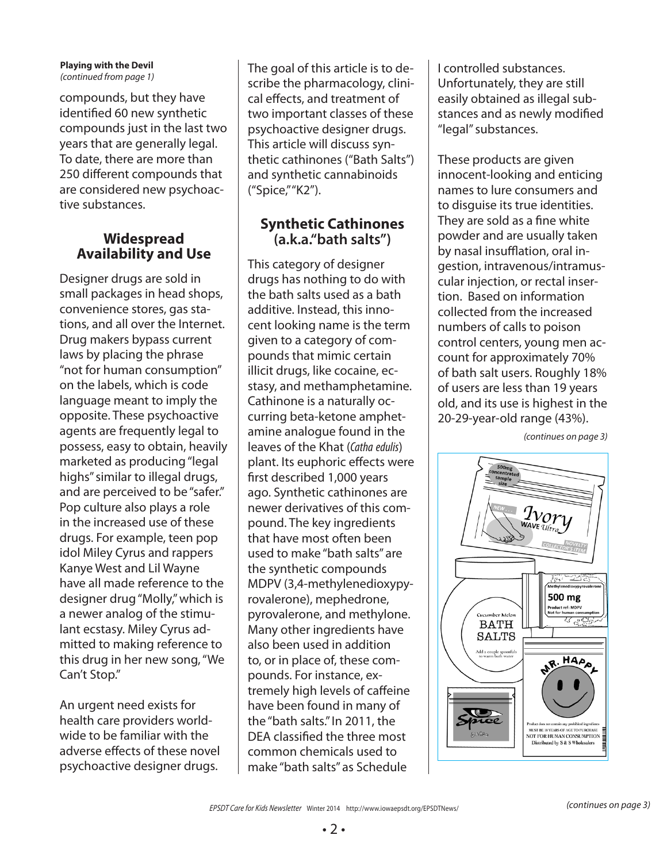### **Playing with the Devil** (continued from page 1)

compounds, but they have identified 60 new synthetic compounds just in the last two years that are generally legal. To date, there are more than 250 different compounds that are considered new psychoactive substances.

## **Widespread Availability and Use**

Designer drugs are sold in small packages in head shops, convenience stores, gas stations, and all over the Internet. Drug makers bypass current laws by placing the phrase "not for human consumption" on the labels, which is code language meant to imply the opposite. These psychoactive agents are frequently legal to possess, easy to obtain, heavily marketed as producing "legal highs" similar to illegal drugs, and are perceived to be "safer." Pop culture also plays a role in the increased use of these drugs. For example, teen pop idol Miley Cyrus and rappers Kanye West and Lil Wayne have all made reference to the designer drug "Molly," which is a newer analog of the stimulant ecstasy. Miley Cyrus admitted to making reference to this drug in her new song, "We Can't Stop."

An urgent need exists for health care providers worldwide to be familiar with the adverse effects of these novel psychoactive designer drugs.

The goal of this article is to describe the pharmacology, clinical effects, and treatment of two important classes of these psychoactive designer drugs. This article will discuss synthetic cathinones ("Bath Salts") and synthetic cannabinoids ("Spice," "K2").

## **Synthetic Cathinones (a.k.a."bath salts")**

This category of designer drugs has nothing to do with the bath salts used as a bath additive. Instead, this innocent looking name is the term given to a category of compounds that mimic certain illicit drugs, like cocaine, ecstasy, and methamphetamine. Cathinone is a naturally occurring beta-ketone amphetamine analogue found in the leaves of the Khat (Catha edulis) plant. Its euphoric effects were first described 1,000 years ago. Synthetic cathinones are newer derivatives of this compound. The key ingredients that have most often been used to make "bath salts" are the synthetic compounds MDPV (3,4-methylenedioxypyrovalerone), mephedrone, pyrovalerone, and methylone. Many other ingredients have also been used in addition to, or in place of, these compounds. For instance, extremely high levels of caffeine have been found in many of the "bath salts." In 2011, the DEA classified the three most common chemicals used to make "bath salts" as Schedule

I controlled substances. Unfortunately, they are still easily obtained as illegal substances and as newly modified "legal" substances.

These products are given innocent-looking and enticing names to lure consumers and to disguise its true identities. They are sold as a fine white powder and are usually taken by nasal insufflation, oral ingestion, intravenous/intramuscular injection, or rectal insertion. Based on information collected from the increased numbers of calls to poison control centers, young men account for approximately 70% of bath salt users. Roughly 18% of users are less than 19 years old, and its use is highest in the 20-29-year-old range (43%).

(continues on page 3)

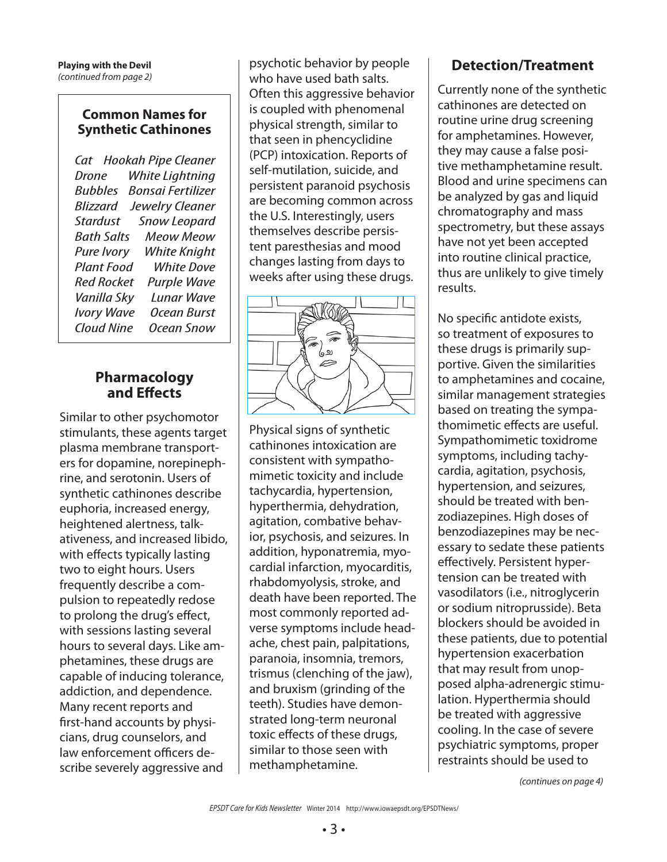### **Common Names for Synthetic Cathinones**

Cat Hookah Pipe Cleaner Drone White Lightning Bubbles Bonsai Fertilizer Blizzard Jewelry Cleaner Stardust Snow Leopard Bath Salts Meow Meow Pure Ivory White Knight Plant Food White Dove Red Rocket Purple Wave Vanilla Sky Lunar Wave Ivory Wave Ocean Burst Ocean Snow

### **Pharmacology and E!ects**

Similar to other psychomotor stimulants, these agents target plasma membrane transporters for dopamine, norepinephrine, and serotonin. Users of synthetic cathinones describe euphoria, increased energy, heightened alertness, talkativeness, and increased libido, with effects typically lasting two to eight hours. Users frequently describe a compulsion to repeatedly redose to prolong the drug's effect, with sessions lasting several hours to several days. Like amphetamines, these drugs are capable of inducing tolerance, addiction, and dependence. Many recent reports and first-hand accounts by physicians, drug counselors, and law enforcement officers describe severely aggressive and

psychotic behavior by people who have used bath salts. Often this aggressive behavior is coupled with phenomenal physical strength, similar to that seen in phencyclidine (PCP) intoxication. Reports of self-mutilation, suicide, and persistent paranoid psychosis are becoming common across the U.S. Interestingly, users themselves describe persistent paresthesias and mood changes lasting from days to weeks after using these drugs.



Physical signs of synthetic cathinones intoxication are consistent with sympathomimetic toxicity and include tachycardia, hypertension, hyperthermia, dehydration, agitation, combative behavior, psychosis, and seizures. In addition, hyponatremia, myocardial infarction, myocarditis, rhabdomyolysis, stroke, and death have been reported. The most commonly reported adverse symptoms include headache, chest pain, palpitations, paranoia, insomnia, tremors, trismus (clenching of the jaw), and bruxism (grinding of the teeth). Studies have demonstrated long-term neuronal toxic effects of these drugs, similar to those seen with methamphetamine.

## **Detection/Treatment**

Currently none of the synthetic cathinones are detected on routine urine drug screening for amphetamines. However, they may cause a false positive methamphetamine result. Blood and urine specimens can be analyzed by gas and liquid chromatography and mass spectrometry, but these assays have not yet been accepted into routine clinical practice, thus are unlikely to give timely results.

No specific antidote exists, so treatment of exposures to these drugs is primarily supportive. Given the similarities to amphetamines and cocaine, similar management strategies based on treating the sympathomimetic effects are useful. Sympathomimetic toxidrome symptoms, including tachycardia, agitation, psychosis, hypertension, and seizures, should be treated with benzodiazepines. High doses of benzodiazepines may be necessary to sedate these patients effectively. Persistent hypertension can be treated with vasodilators (i.e., nitroglycerin or sodium nitroprusside). Beta blockers should be avoided in these patients, due to potential hypertension exacerbation that may result from unopposed alpha-adrenergic stimulation. Hyperthermia should be treated with aggressive cooling. In the case of severe psychiatric symptoms, proper restraints should be used to

(continues on page 4)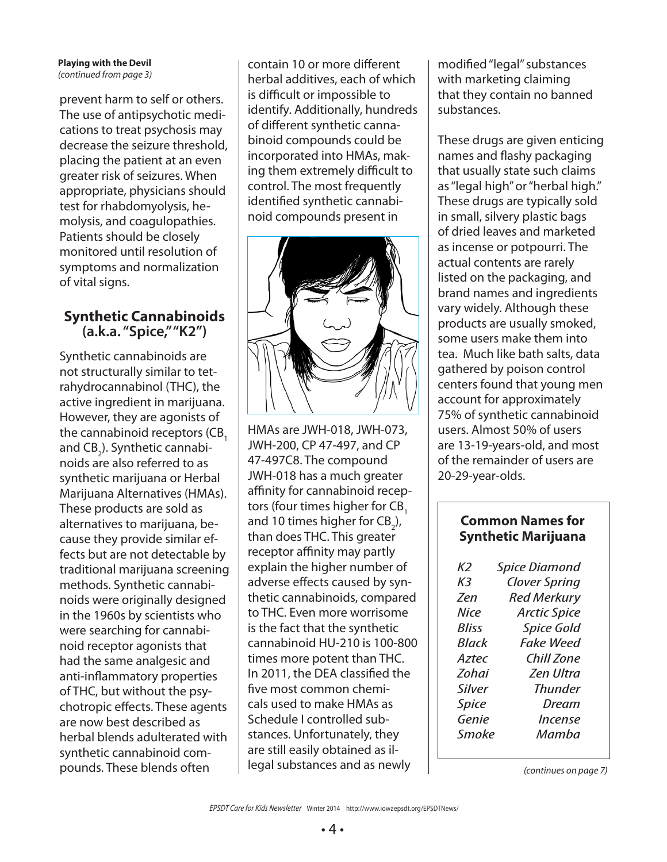### **Playing with the Devil** (continued from page 3)

prevent harm to self or others. The use of antipsychotic medications to treat psychosis may decrease the seizure threshold, placing the patient at an even greater risk of seizures. When appropriate, physicians should test for rhabdomyolysis, hemolysis, and coagulopathies. Patients should be closely monitored until resolution of symptoms and normalization of vital signs.

## **Synthetic Cannabinoids (a.k.a. "Spice," "K2")**

Synthetic cannabinoids are not structurally similar to tetrahydrocannabinol (THC), the active ingredient in marijuana. However, they are agonists of the cannabinoid receptors (CB. and CB $_2$ ). Synthetic cannabinoids are also referred to as synthetic marijuana or Herbal Marijuana Alternatives (HMAs). These products are sold as alternatives to marijuana, because they provide similar effects but are not detectable by traditional marijuana screening methods. Synthetic cannabinoids were originally designed in the 1960s by scientists who were searching for cannabinoid receptor agonists that had the same analgesic and anti-inflammatory properties of THC, but without the psychotropic effects. These agents are now best described as herbal blends adulterated with synthetic cannabinoid compounds. These blends often

contain 10 or more different herbal additives, each of which is difficult or impossible to identify. Additionally, hundreds of different synthetic cannabinoid compounds could be incorporated into HMAs, making them extremely difficult to control. The most frequently identified synthetic cannabinoid compounds present in



HMAs are JWH-018, JWH-073, JWH-200, CP 47-497, and CP 47-497C8. The compound JWH-018 has a much greater affinity for cannabinoid receptors (four times higher for CB<sub>1</sub> and 10 times higher for CB<sub>2</sub>), than does THC. This greater receptor affinity may partly explain the higher number of adverse effects caused by synthetic cannabinoids, compared to THC. Even more worrisome is the fact that the synthetic cannabinoid HU-210 is 100-800 times more potent than THC. In 2011, the DEA classified the five most common chemicals used to make HMAs as Schedule I controlled substances. Unfortunately, they are still easily obtained as illegal substances and as newly

modified "legal" substances with marketing claiming that they contain no banned substances.

These drugs are given enticing names and flashy packaging that usually state such claims as "legal high" or "herbal high." These drugs are typically sold in small, silvery plastic bags of dried leaves and marketed as incense or potpourri. The actual contents are rarely listed on the packaging, and brand names and ingredients vary widely. Although these products are usually smoked, some users make them into tea. Much like bath salts, data gathered by poison control centers found that young men account for approximately 75% of synthetic cannabinoid users. Almost 50% of users are 13-19-years-old, and most of the remainder of users are 20-29-year-olds.

### **Common Names for Synthetic Marijuana**

| K)<br>K3     | <b>Spice Diamond</b><br><b>Clover Spring</b> |
|--------------|----------------------------------------------|
| 7en          | <b>Red Merkury</b>                           |
| Nice         | <b>Arctic Spice</b>                          |
| <b>Bliss</b> | <b>Spice Gold</b>                            |
| <b>Black</b> | Fake Weed                                    |
| Aztec        | Chill Zone                                   |
| <b>Zohai</b> | <b>Zen Illtra</b>                            |
| Silver       | <b>Thunder</b>                               |
| <b>Spice</b> | Dream                                        |
| Genie        | Incense                                      |
| Smoke        | Mamha                                        |

(continues on page 7)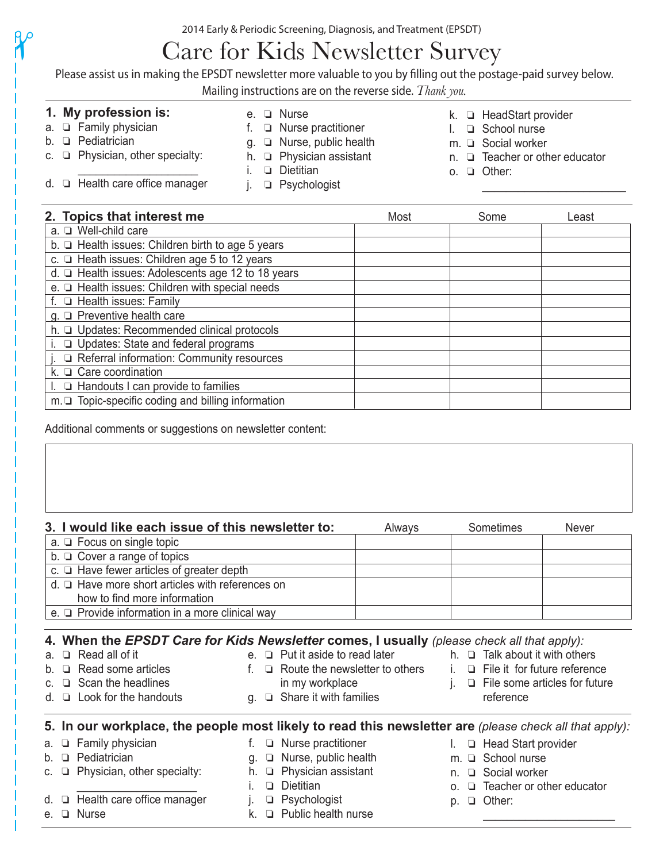2014 Early & Periodic Screening, Diagnosis, and Treatment (EPSDT)

# Care for Kids Newsletter Survey

Please assist us in making the EPSDT newsletter more valuable to you by filling out the postage-paid survey below.

Mailing instructions are on the reverse side. *Thank you.*

## **1. My profession is:**

c.  $\Box$  Physician, other specialty:

d.  $\Box$  Health care office manager

 $a. \Box$  Family physician  $b.  $\square$  Pediatrician$ 

 $\gamma$ 

- e. **Q** Nurse
- f.  $\Box$  Nurse practitioner
- $g. \Box$  Nurse, public health
- h.  $\Box$  Physician assistant
- $i.$  **Q** Dietitian
- j. **Q** Psychologist
- k. **HeadStart provider**
- l. **Q** School nurse
- $m. \square$  Social worker
- $n. \Box$  Teacher or other educator

 $\mathcal{L}_\text{max} = \frac{1}{2} \sum_{i=1}^{n} \frac{1}{2} \sum_{i=1}^{n} \frac{1}{2} \sum_{i=1}^{n} \frac{1}{2} \sum_{i=1}^{n} \frac{1}{2} \sum_{i=1}^{n} \frac{1}{2} \sum_{i=1}^{n} \frac{1}{2} \sum_{i=1}^{n} \frac{1}{2} \sum_{i=1}^{n} \frac{1}{2} \sum_{i=1}^{n} \frac{1}{2} \sum_{i=1}^{n} \frac{1}{2} \sum_{i=1}^{n} \frac{1}{2} \sum_{i=1}^{n} \frac{1$ 

o.  $\Box$  Other:

| 2. Topics that interest me                                 | Most | Some | Least |
|------------------------------------------------------------|------|------|-------|
| a. Q Well-child care                                       |      |      |       |
| b. $\Box$ Health issues: Children birth to age 5 years     |      |      |       |
| c. La Heath issues: Children age 5 to 12 years             |      |      |       |
| d. □ Health issues: Adolescents age 12 to 18 years         |      |      |       |
| e. <sup>D</sup> Health issues: Children with special needs |      |      |       |
| f. <b>Q</b> Health issues: Family                          |      |      |       |
| $g. \Box$ Preventive health care                           |      |      |       |
| h. Q Updates: Recommended clinical protocols               |      |      |       |
| i. <b>Q</b> Updates: State and federal programs            |      |      |       |
| j. □ Referral information: Community resources             |      |      |       |
| k. $\Box$ Care coordination                                |      |      |       |
| $\Box$ Handouts I can provide to families                  |      |      |       |
| $m.\n\Box$ Topic-specific coding and billing information   |      |      |       |

Additional comments or suggestions on newsletter content:

|             | 3. I would like each issue of this newsletter to:                                                                                                                                                             |    | Always                                                                                                                                                                                                             |            | Sometimes                     | <b>Never</b>                            |
|-------------|---------------------------------------------------------------------------------------------------------------------------------------------------------------------------------------------------------------|----|--------------------------------------------------------------------------------------------------------------------------------------------------------------------------------------------------------------------|------------|-------------------------------|-----------------------------------------|
|             | $a. \Box$ Focus on single topic                                                                                                                                                                               |    |                                                                                                                                                                                                                    |            |                               |                                         |
|             | $b. \Box$ Cover a range of topics                                                                                                                                                                             |    |                                                                                                                                                                                                                    |            |                               |                                         |
|             | c. $\Box$ Have fewer articles of greater depth                                                                                                                                                                |    |                                                                                                                                                                                                                    |            |                               |                                         |
|             | $d. \Box$ Have more short articles with references on                                                                                                                                                         |    |                                                                                                                                                                                                                    |            |                               |                                         |
|             | how to find more information                                                                                                                                                                                  |    |                                                                                                                                                                                                                    |            |                               |                                         |
|             | e. $\Box$ Provide information in a more clinical way                                                                                                                                                          |    |                                                                                                                                                                                                                    |            |                               |                                         |
|             | 4. When the EPSDT Care for Kids Newsletter comes, I usually (please check all that apply):<br>$\Box$ Read all of it<br>$\Box$ Read some articles<br>$\Box$ Scan the headlines<br>$\Box$ Look for the handouts |    | e. $\Box$ Put it aside to read later h. $\Box$ Talk about it with others<br>f. $\Box$ Route the newsletter to others i. $\Box$ File it for future reference<br>in my workplace<br>$g. \Box$ Share it with families |            | reference                     | $i. \Box$ File some articles for future |
|             | 5. In our workplace, the people most likely to read this newsletter are (please check all that apply):                                                                                                        |    |                                                                                                                                                                                                                    |            |                               |                                         |
| а.          | $\Box$ Family physician                                                                                                                                                                                       |    | f. $\Box$ Nurse practitioner                                                                                                                                                                                       |            | $I. \Box$ Head Start provider |                                         |
| b.          | <b>D</b> Pediatrician                                                                                                                                                                                         |    | $g. \Box$ Nurse, public health                                                                                                                                                                                     |            | m. Q School nurse             |                                         |
| C.          | Physician, other specialty:                                                                                                                                                                                   |    | h. $\Box$ Physician assistant                                                                                                                                                                                      |            | n. <b>Q</b> Social worker     |                                         |
|             |                                                                                                                                                                                                               |    | $\Box$ Dietitian                                                                                                                                                                                                   | $\Omega$ . |                               | $\Box$ Teacher or other educator        |
|             | $\Box$ Health care office manager                                                                                                                                                                             | i. | $\Box$ Psychologist                                                                                                                                                                                                | D.         | $\Box$ Other:                 |                                         |
| $e_{\cdot}$ | $\Box$ Nurse                                                                                                                                                                                                  | k. | <b>D</b> Public health nurse                                                                                                                                                                                       |            |                               |                                         |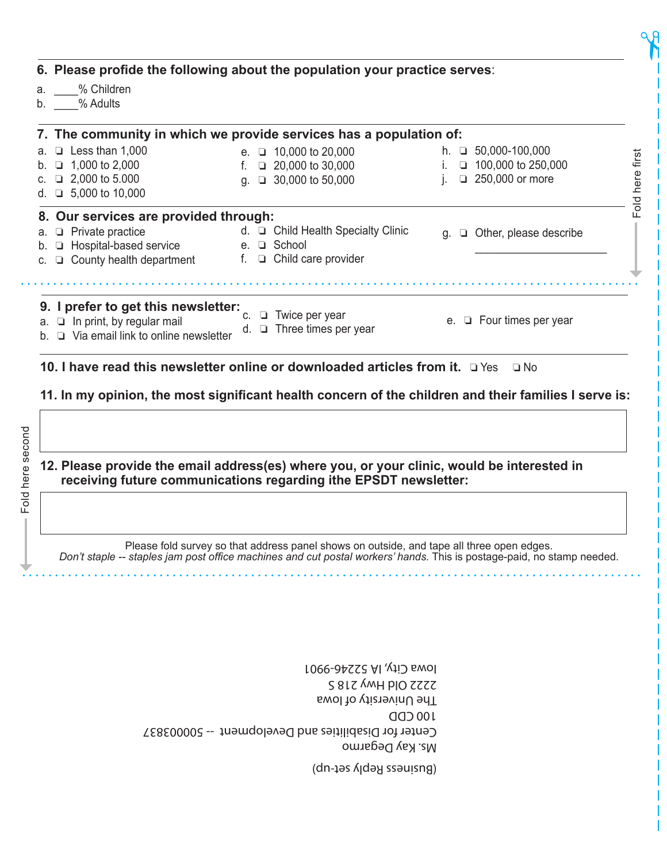| % Children<br>a.<br>% Adults<br>b.                                         | 6. Please profide the following about the population your practice serves: |                                        |
|----------------------------------------------------------------------------|----------------------------------------------------------------------------|----------------------------------------|
|                                                                            | 7. The community in which we provide services has a population of:         |                                        |
| $\Box$ Less than 1,000<br>a.                                               | e. $\Box$ 10,000 to 20,000                                                 | h. $\Box$ 50,000-100,000               |
| $\Box$ 1,000 to 2,000                                                      | 20,000 to 30,000                                                           | 100,000 to 250,000<br>$\Box$           |
| 2,000 to 5.000                                                             | □ 30,000 to 50,000<br>a.                                                   | 250,000 or more<br>O.                  |
| $\Box$ 5,000 to 10,000<br>d.                                               |                                                                            |                                        |
| 8. Our services are provided through:                                      |                                                                            |                                        |
| $\Box$ Private practice                                                    | d. □ Child Health Specialty Clinic                                         | Other, please describe<br>g.<br>$\Box$ |
| □ Hospital-based service                                                   | e. □ School                                                                |                                        |
| County health department                                                   | f. $\Box$ Child care provider                                              |                                        |
|                                                                            |                                                                            |                                        |
|                                                                            |                                                                            |                                        |
| 9. I prefer to get this newsletter:<br>$a. \Box$ In print, by regular mail | Twice per year<br>▫                                                        | e. $\Box$ Four times per year          |
| $\Box$ Via email link to online newsletter                                 | d. $\Box$ Three times per year                                             |                                        |

### **10. I have read this newsletter online or downloaded articles from it. Q Yes Q No**

**11.** In my opinion, the most significant health concern of the children and their families I serve is:

Fold here second Fold here second

### **12. Please provide the email address(es) where you, or your clinic, would be interested in receiving future communications regarding ithe EPSDT newsletter:**

Please fold survey so that address panel shows on outside, and tape all three open edges. Don't staple -- staples jam post office machines and cut postal workers' hands. This is postage-paid, no stamp needed.

> Ms. Kay Degarmo Center for Disabilities and Development -- 500003837 100 CDD The University of Iowa 2222 Old Hwy 218 S Iowa City, IA 52246-9901

> > (Business Reply set-up)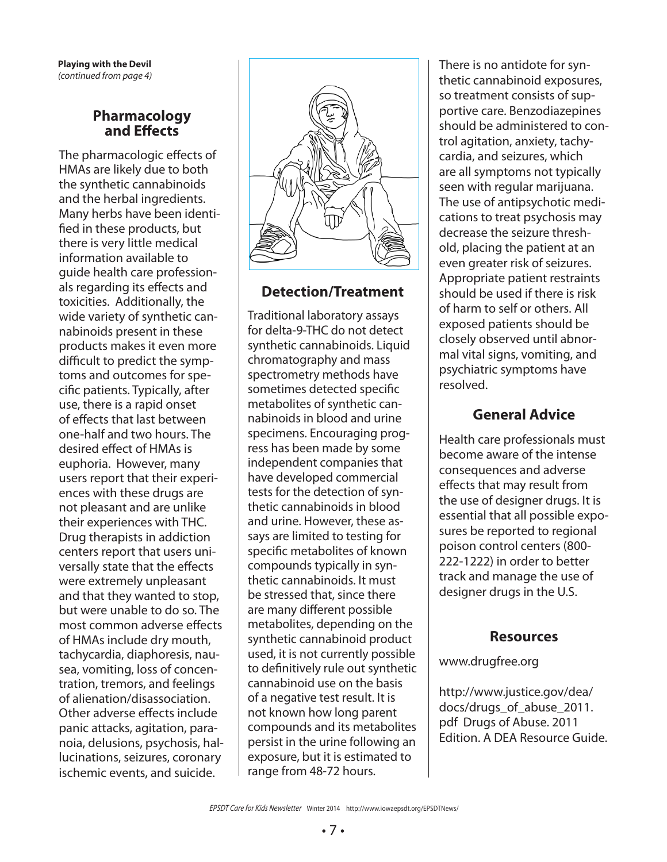**Playing with the Devil** (continued from page 4)

## **Pharmacology and E!ects**

The pharmacologic effects of HMAs are likely due to both the synthetic cannabinoids and the herbal ingredients. Many herbs have been identi fied in these products, but there is very little medical information available to guide health care professionals regarding its effects and toxicities. Additionally, the wide variety of synthetic cannabinoids present in these products makes it even more difficult to predict the symptoms and outcomes for specific patients. Typically, after use, there is a rapid onset of effects that last between one-half and two hours. The desired effect of HMAs is euphoria. However, many users report that their experiences with these drugs are not pleasant and are unlike their experiences with THC. Drug therapists in addiction centers report that users universally state that the effects were extremely unpleasant and that they wanted to stop, but were unable to do so. The most common adverse effects of HMAs include dry mouth, tachycardia, diaphoresis, nausea, vomiting, loss of concentration, tremors, and feelings of alienation/disassociation. Other adverse effects include panic attacks, agitation, paranoia, delusions, psychosis, hallucinations, seizures, coronary ischemic events, and suicide.



## **Detection/Treatment**

Traditional laboratory assays for delta-9-THC do not detect synthetic cannabinoids. Liquid chromatography and mass spectrometry methods have sometimes detected specific metabolites of synthetic cannabinoids in blood and urine specimens. Encouraging progress has been made by some independent companies that have developed commercial tests for the detection of synthetic cannabinoids in blood and urine. However, these assays are limited to testing for specific metabolites of known compounds typically in synthetic cannabinoids. It must be stressed that, since there are many different possible metabolites, depending on the synthetic cannabinoid product used, it is not currently possible to definitively rule out synthetic cannabinoid use on the basis of a negative test result. It is not known how long parent compounds and its metabolites persist in the urine following an exposure, but it is estimated to range from 48-72 hours.

There is no antidote for synthetic cannabinoid exposures, so treatment consists of supportive care. Benzodiazepines should be administered to control agitation, anxiety, tachycardia, and seizures, which are all symptoms not typically seen with regular marijuana. The use of antipsychotic medications to treat psychosis may decrease the seizure threshold, placing the patient at an even greater risk of seizures. Appropriate patient restraints should be used if there is risk of harm to self or others. All exposed patients should be closely observed until abnormal vital signs, vomiting, and psychiatric symptoms have resolved.

## **General Advice**

Health care professionals must become aware of the intense consequences and adverse effects that may result from the use of designer drugs. It is essential that all possible exposures be reported to regional poison control centers (800- 222-1222) in order to better track and manage the use of designer drugs in the U.S.

## **Resources**

www.drugfree.org

http://www.justice.gov/dea/ docs/drugs\_of\_abuse\_2011. pdf Drugs of Abuse. 2011 Edition. A DEA Resource Guide.